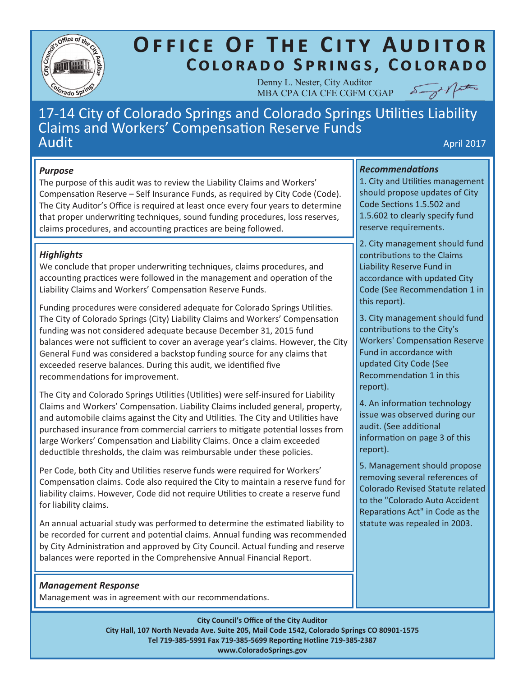

# **OFFICE OF THE CITY AUDITOR** COLORADO SPRINGS, COLORADO

Denny L. Nester, City Auditor MBA CPA CIA CFE CGFM CGAP



# 17-14 City of Colorado Springs and Colorado Springs Utilities Liability Claims and Workers' Compensation Reserve Funds  $\mathsf{Audit}$  and  $\mathsf{Aquclit}$  and  $\mathsf{Aquclit}$  and  $\mathsf{Aquclit}$  and  $\mathsf{Aquclit}$  and  $\mathsf{Aquclit}$

# *Purpose*

The purpose of this audit was to review the Liability Claims and Workers' Compensation Reserve – Self Insurance Funds, as required by City Code (Code). The City Auditor's Office is required at least once every four years to determine that proper underwriting techniques, sound funding procedures, loss reserves, claims procedures, and accounting practices are being followed.

# *Highlights*

We conclude that proper underwriting techniques, claims procedures, and accounting practices were followed in the management and operation of the Liability Claims and Workers' Compensation Reserve Funds.

Funding procedures were considered adequate for Colorado Springs Utilities. The City of Colorado Springs (City) Liability Claims and Workers' Compensation funding was not considered adequate because December 31, 2015 fund balances were not sufficient to cover an average year's claims. However, the City General Fund was considered a backstop funding source for any claims that exceeded reserve balances. During this audit, we identified five recommendations for improvement.

The City and Colorado Springs Utilities (Utilities) were self-insured for Liability Claims and Workers' Compensation. Liability Claims included general, property, and automobile claims against the City and Utilities. The City and Utilities have purchased insurance from commercial carriers to mitigate potential losses from large Workers' Compensation and Liability Claims. Once a claim exceeded deductible thresholds, the claim was reimbursable under these policies.

Per Code, both City and Utilities reserve funds were required for Workers' Compensation claims. Code also required the City to maintain a reserve fund for liability claims. However, Code did not require Utilities to create a reserve fund for liability claims.

An annual actuarial study was performed to determine the estimated liability to be recorded for current and potential claims. Annual funding was recommended by City Administration and approved by City Council. Actual funding and reserve balances were reported in the Comprehensive Annual Financial Report.

# *Management Response*

Management was in agreement with our recommendations.

# *Recommendations*

1. City and Utilities management should propose updates of City Code Sections 1.5.502 and 1.5.602 to clearly specify fund reserve requirements.

2. City management should fund contributions to the Claims Liability Reserve Fund in accordance with updated City Code (See Recommendation 1 in this report).

3. City management should fund contributions to the City's Workers' Compensation Reserve Fund in accordance with updated City Code (See Recommendation 1 in this report).

4. An information technology issue was observed during our audit. (See additional information on page 3 of this report).

5. Management should propose removing several references of Colorado Revised Statute related to the "Colorado Auto Accident Reparations Act" in Code as the statute was repealed in 2003.

**City Council's Office of the City Auditor City Hall, 107 North Nevada Ave. Suite 205, Mail Code 1542, Colorado Springs CO 80901-1575 Tel 719-385-5991 Fax 719-385-5699 Reporting Hotline 719-385-2387 www.ColoradoSprings.gov**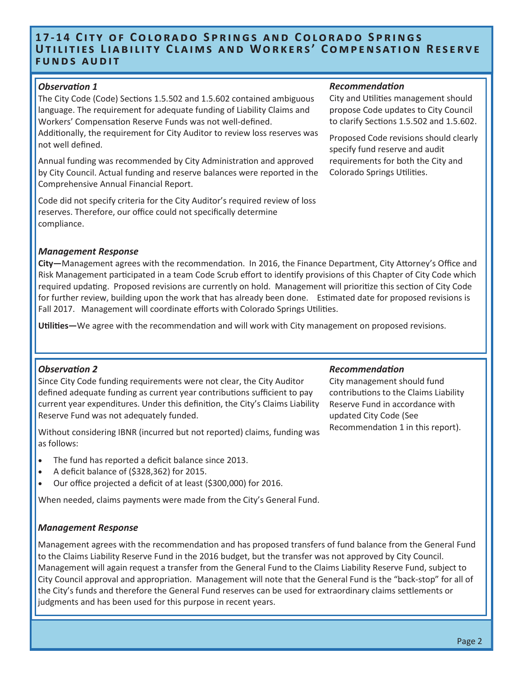# **17-14 CITY OF COLORADO SPRINGS AND COLORADO SPRINGS** UTILITIES LIABILITY CLAIMS AND WORKERS' COMPENSATION RESERVE **FUNDS AUDIT**

#### *Observation 1*

The City Code (Code) Sections 1.5.502 and 1.5.602 contained ambiguous language. The requirement for adequate funding of Liability Claims and Workers' Compensation Reserve Funds was not well-defined. Additionally, the requirement for City Auditor to review loss reserves was

not well defined.

Annual funding was recommended by City Administration and approved by City Council. Actual funding and reserve balances were reported in the Comprehensive Annual Financial Report.

Code did not specify criteria for the City Auditor's required review of loss reserves. Therefore, our office could not specifically determine compliance.

#### *Management Response*

**City—**Management agrees with the recommendation. In 2016, the Finance Department, City Attorney's Office and Risk Management participated in a team Code Scrub effort to identify provisions of this Chapter of City Code which required updating. Proposed revisions are currently on hold. Management will prioritize this section of City Code for further review, building upon the work that has already been done. Estimated date for proposed revisions is Fall 2017. Management will coordinate efforts with Colorado Springs Utilities.

**Utilities—**We agree with the recommendation and will work with City management on proposed revisions.

# *Observation 2*

Since City Code funding requirements were not clear, the City Auditor defined adequate funding as current year contributions sufficient to pay current year expenditures. Under this definition, the City's Claims Liability Reserve Fund was not adequately funded.

Without considering IBNR (incurred but not reported) claims, funding was as follows:

- The fund has reported a deficit balance since 2013.
- A deficit balance of (\$328,362) for 2015.
- Our office projected a deficit of at least (\$300,000) for 2016.

When needed, claims payments were made from the City's General Fund.

#### *Management Response*

Management agrees with the recommendation and has proposed transfers of fund balance from the General Fund to the Claims Liability Reserve Fund in the 2016 budget, but the transfer was not approved by City Council. Management will again request a transfer from the General Fund to the Claims Liability Reserve Fund, subject to City Council approval and appropriation. Management will note that the General Fund is the "back-stop" for all of the City's funds and therefore the General Fund reserves can be used for extraordinary claims settlements or judgments and has been used for this purpose in recent years.

#### *Recommendation*

City and Utilities management should propose Code updates to City Council to clarify Sections 1.5.502 and 1.5.602.

Proposed Code revisions should clearly specify fund reserve and audit requirements for both the City and Colorado Springs Utilities.

#### *Recommendation*

City management should fund contributions to the Claims Liability Reserve Fund in accordance with updated City Code (See Recommendation 1 in this report).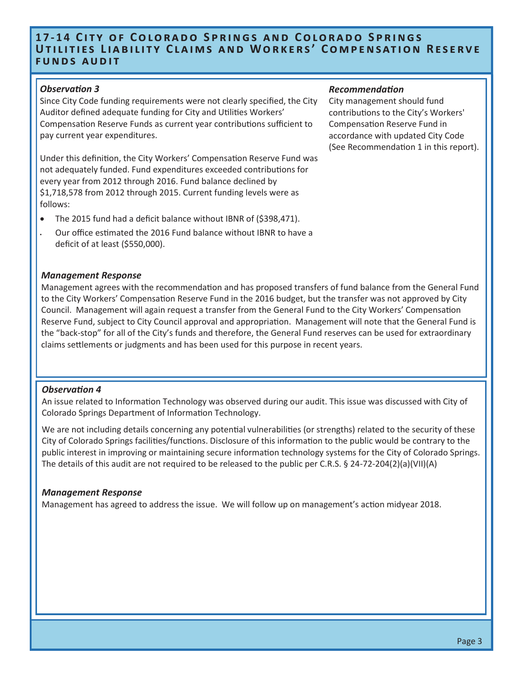# **17-14 CITY OF COLORADO SPRINGS AND COLORADO SPRINGS UTILITIES LIABILITY CLAIMS AND WORKERS' COMPENSATION RESERVE FUNDS AUDIT**

#### *Observation 3*

Since City Code funding requirements were not clearly specified, the City Auditor defined adequate funding for City and Utilities Workers' Compensation Reserve Funds as current year contributions sufficient to pay current year expenditures.

Under this definition, the City Workers' Compensation Reserve Fund was not adequately funded. Fund expenditures exceeded contributions for every year from 2012 through 2016. Fund balance declined by \$1,718,578 from 2012 through 2015. Current funding levels were as follows:

- The 2015 fund had a deficit balance without IBNR of (\$398,471).
- Our office estimated the 2016 Fund balance without IBNR to have a deficit of at least (\$550,000).

#### *Management Response*

Management agrees with the recommendation and has proposed transfers of fund balance from the General Fund to the City Workers' Compensation Reserve Fund in the 2016 budget, but the transfer was not approved by City Council. Management will again request a transfer from the General Fund to the City Workers' Compensation Reserve Fund, subject to City Council approval and appropriation. Management will note that the General Fund is the "back-stop" for all of the City's funds and therefore, the General Fund reserves can be used for extraordinary claims settlements or judgments and has been used for this purpose in recent years.

#### *Observation 4*

An issue related to Information Technology was observed during our audit. This issue was discussed with City of Colorado Springs Department of Information Technology.

We are not including details concerning any potential vulnerabilities (or strengths) related to the security of these City of Colorado Springs facilities/functions. Disclosure of this information to the public would be contrary to the public interest in improving or maintaining secure information technology systems for the City of Colorado Springs. The details of this audit are not required to be released to the public per C.R.S. § 24-72-204(2)(a)(VII)(A)

#### *Management Response*

Management has agreed to address the issue. We will follow up on management's action midyear 2018.

#### *Recommendation*

City management should fund contributions to the City's Workers' Compensation Reserve Fund in accordance with updated City Code (See Recommendation 1 in this report).